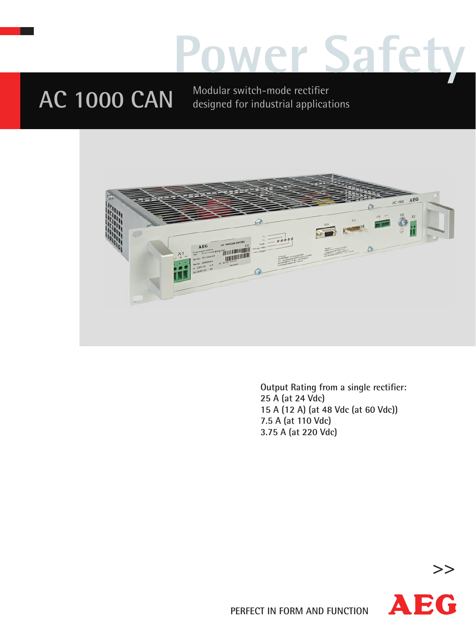## **Power Safety**

**AC 1000 CAN** Modular switch-mode rectifier designed for industrial applications



**Output Rating from a single rectifier: 25 A (at 24 Vdc) 15 A (12 A) (at 48 Vdc (at 60 Vdc)) 7.5 A (at 110 Vdc) 3.75 A (at 220 Vdc)** 



**>>**

**PERFECT IN FORM AND FUNCTION**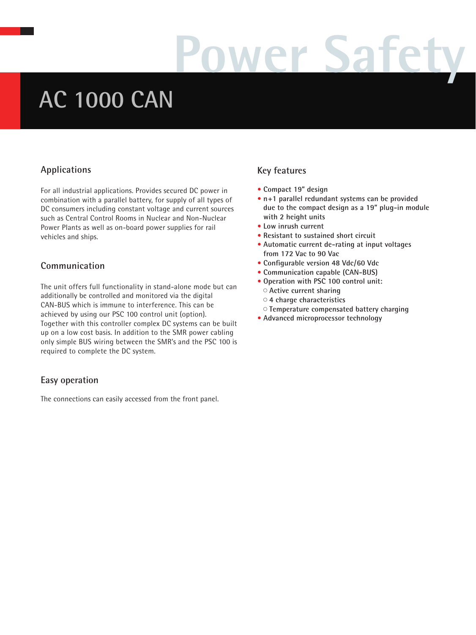# **Power Safety**

### **AC 1000 CAN**

#### **Applications**

For all industrial applications. Provides secured DC power in combination with a parallel battery, for supply of all types of DC consumers including constant voltage and current sources such as Central Control Rooms in Nuclear and Non-Nuclear Power Plants as well as on-board power supplies for rail vehicles and ships.

#### **Communication**

The unit offers full functionality in stand-alone mode but can additionally be controlled and monitored via the digital CAN-BUS which is immune to interference. This can be achieved by using our PSC 100 control unit (option). Together with this controller complex DC systems can be built up on a low cost basis. In addition to the SMR power cabling only simple BUS wiring between the SMR's and the PSC 100 is required to complete the DC system.

#### **Easy operation**

The connections can easily accessed from the front panel.

### **Key features**

- **Compact 19" design**
- **n +1 parallel redundant systems can be provided due to the compact design as a 19" plug-in module with 2 height units**
- **Low inrush current**
- **Resistant to sustained short circuit**
- **Automatic current de-rating at input voltages from 172 Vac to 90 Vac**
- **Configurable version 48 Vdc/60 Vdc**
- **Communication capable (CAN-BUS)**
- **Operation with PSC 100 control unit:**
	- **Active current sharing**
	- **4 charge characteristics**
	- **Temperature compensated battery charging**
- **Advanced microprocessor technology**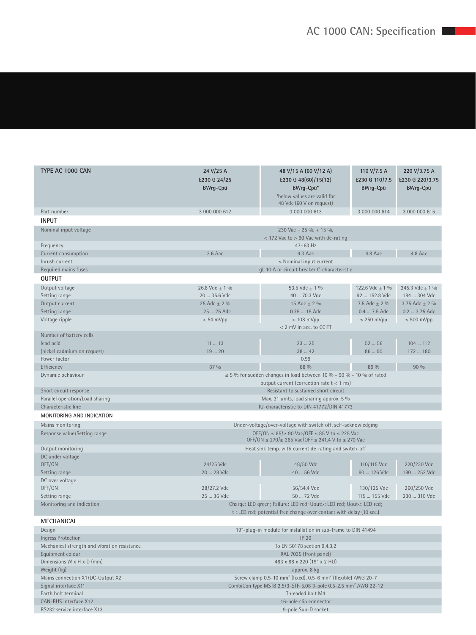| TYPE AC 1000 CAN                             | 24 V/25 A<br>48 V/15 A (60 V/12 A)                                                                                                           |                                                                       | 110 V/7.5 A                       | 220 V/3.75 A                       |  |  |
|----------------------------------------------|----------------------------------------------------------------------------------------------------------------------------------------------|-----------------------------------------------------------------------|-----------------------------------|------------------------------------|--|--|
|                                              | E230 G 24/25<br><b>BWrg-Cpü</b>                                                                                                              | E230 G 48(60)/15(12)<br>BWrg-Cpü*                                     | E230 G 110/7.5<br><b>BWrg-Cpü</b> | E230 G 220/3.75<br><b>BWrg-Cpü</b> |  |  |
|                                              |                                                                                                                                              | *below values are valid for                                           |                                   |                                    |  |  |
|                                              |                                                                                                                                              | 48 Vdc (60 V on request)                                              |                                   |                                    |  |  |
| Part number                                  | 3 000 000 612                                                                                                                                | 3 000 000 613                                                         | 3 000 000 614                     | 3 000 000 615                      |  |  |
| <b>INPUT</b>                                 |                                                                                                                                              |                                                                       |                                   |                                    |  |  |
| Nominal input voltage                        | 230 Vac - 25 %, + 15 %,                                                                                                                      |                                                                       |                                   |                                    |  |  |
|                                              | $<$ 172 Vac to $>$ 90 Vac with de-rating                                                                                                     |                                                                       |                                   |                                    |  |  |
| Frequency                                    | $47-63$ Hz                                                                                                                                   |                                                                       |                                   |                                    |  |  |
| Current consumption                          |                                                                                                                                              | 4.8 Aac<br>3.6 Aac<br>4.3 Aac<br>4.8 Aac                              |                                   |                                    |  |  |
| Inrush current                               | $\leq$ Nominal input current                                                                                                                 |                                                                       |                                   |                                    |  |  |
| Required mains fuses                         | gL 10 A or circuit breaker C-characteristic                                                                                                  |                                                                       |                                   |                                    |  |  |
| <b>OUTPUT</b>                                |                                                                                                                                              |                                                                       |                                   |                                    |  |  |
| Output voltage                               | 26.8 Vdc ± 1 %                                                                                                                               | 53.5 Vdc $\pm$ 1 %                                                    | 122.6 Vdc $\pm$ 1 %               | 245.3 Vdc $\pm$ 1 %                |  |  |
| Setting range                                | 20  35.6 Vdc                                                                                                                                 | 40  70.3 Vdc                                                          | 92  152.8 Vdc                     | 184  304 Vdc                       |  |  |
| Output current                               | 25 Adc $\pm$ 2 %                                                                                                                             | 15 Adc ± 2 %                                                          | 7.5 Adc $\pm$ 2 %                 | 3.75 Adc $\pm$ 2 %                 |  |  |
| Setting range                                | 1.25  25 Adc                                                                                                                                 | 0.75  15 Adc                                                          | 0.4  7.5 Adc                      | 0.2  3.75 Adc                      |  |  |
| Voltage ripple                               | $< 54$ mVpp<br>$<$ 108 mVpp<br>$\leq$ 250 mVpp<br>$\leq 500$ mVpp                                                                            |                                                                       |                                   |                                    |  |  |
|                                              |                                                                                                                                              | < 2 mV in acc. to CCITT                                               |                                   |                                    |  |  |
| Number of battery cells                      |                                                                                                                                              |                                                                       |                                   |                                    |  |  |
| lead acid                                    | 1113                                                                                                                                         | 2325                                                                  | $52 - 56$                         | 104  112                           |  |  |
| (nickel cadmium on request)                  | 1920<br>38  42<br>86  90<br>172  180                                                                                                         |                                                                       |                                   |                                    |  |  |
| Power factor                                 | 87 %                                                                                                                                         | 0.99<br>88 %                                                          | 89 %                              | 90 %                               |  |  |
| Efficiency                                   |                                                                                                                                              |                                                                       |                                   |                                    |  |  |
| Dynamic behaviour                            |                                                                                                                                              | $\leq$ 5% for sudden changes in load between 10% - 90% - 10% of rated |                                   |                                    |  |  |
| Short circuit response                       | output current (correction rate $t < 1$ ms)                                                                                                  |                                                                       |                                   |                                    |  |  |
| Parallel operation/Load sharing              | Resistant to sustained short circuit                                                                                                         |                                                                       |                                   |                                    |  |  |
| Characteristic line                          | Max. 31 units, load sharing approx. 5 %<br>IU-characteristic to DIN 41772/DIN 41773                                                          |                                                                       |                                   |                                    |  |  |
| MONITORING AND INDICATION                    |                                                                                                                                              |                                                                       |                                   |                                    |  |  |
|                                              |                                                                                                                                              |                                                                       |                                   |                                    |  |  |
| Mains monitoring                             | Under-voltage/over-voltage with switch off, self-acknowledging                                                                               |                                                                       |                                   |                                    |  |  |
| Response value/Setting range                 | OFF/ON $\leq$ 85/ $\geq$ 90 Vac/OFF $\leq$ 85 V to $\leq$ 225 Vac<br>OFF/ON ≤ 270/≥ 265 Vac/OFF ≤ 241.4 V to ≤ 270 Vac                       |                                                                       |                                   |                                    |  |  |
| Output monitoring                            |                                                                                                                                              | Heat sink temp. with current de-rating and switch-off                 |                                   |                                    |  |  |
| DC under voltage                             |                                                                                                                                              |                                                                       |                                   |                                    |  |  |
| OFF/ON                                       | 24/25 Vdc                                                                                                                                    | 48/50 Vdc                                                             | 110/115 Vdc                       | 220/230 Vdc                        |  |  |
| Setting range                                | 20  28 Vdc                                                                                                                                   | 40  56 Vdc                                                            | 90  126 Vdc                       | 180  252 Vdc                       |  |  |
| DC over voltage                              |                                                                                                                                              |                                                                       |                                   |                                    |  |  |
| OFF/ON                                       | 28/27.2 Vdc                                                                                                                                  | 56/54.4 Vdc                                                           | 130/125 Vdc                       | 260/250 Vdc                        |  |  |
| Setting range                                | 25  36 Vdc                                                                                                                                   | 50  72 Vdc                                                            | 115  155 Vdc                      | 230  310 Vdc                       |  |  |
| Monitoring and indication                    | Charge: LED green; Failure: LED red; Uout>: LED red; Uout<: LED red;<br>t : LED red; potential free change over contact with delay (10 sec.) |                                                                       |                                   |                                    |  |  |
| <b>MECHANICAL</b>                            |                                                                                                                                              |                                                                       |                                   |                                    |  |  |
| Design                                       | 19"-plug-in module for installation in sub-frame to DIN 41494                                                                                |                                                                       |                                   |                                    |  |  |
| <b>Ingress Protection</b>                    | <b>IP 20</b>                                                                                                                                 |                                                                       |                                   |                                    |  |  |
| Mechanical strength and vibration resistance | To EN 50178 section 9.4.3.2                                                                                                                  |                                                                       |                                   |                                    |  |  |
| Equipment colour                             | RAL 7035 (front panel)                                                                                                                       |                                                                       |                                   |                                    |  |  |
| Dimensions $W \times H \times D$ (mm)        |                                                                                                                                              | 483 x 88 x 220 (19" x 2 HU)                                           |                                   |                                    |  |  |
| Weight (kg)                                  | approx. 8 kg                                                                                                                                 |                                                                       |                                   |                                    |  |  |
| Mains connection X1/DC-Output X2             | Screw clamp $0.5$ -10 mm <sup>2</sup> (fixed), $0.5$ -6 mm <sup>2</sup> (flexible) AWG 20-7                                                  |                                                                       |                                   |                                    |  |  |

#### Signal interface X11 CombiCon type MSTB 2,5/3-STF-5.08 3-pole 0.5-2.5 mm<sup>2</sup> AWG 22-12

| Threaded bolt M4       |
|------------------------|
| 16-pole clip connector |

Earth bolt terminal CAN-BUS interface X12